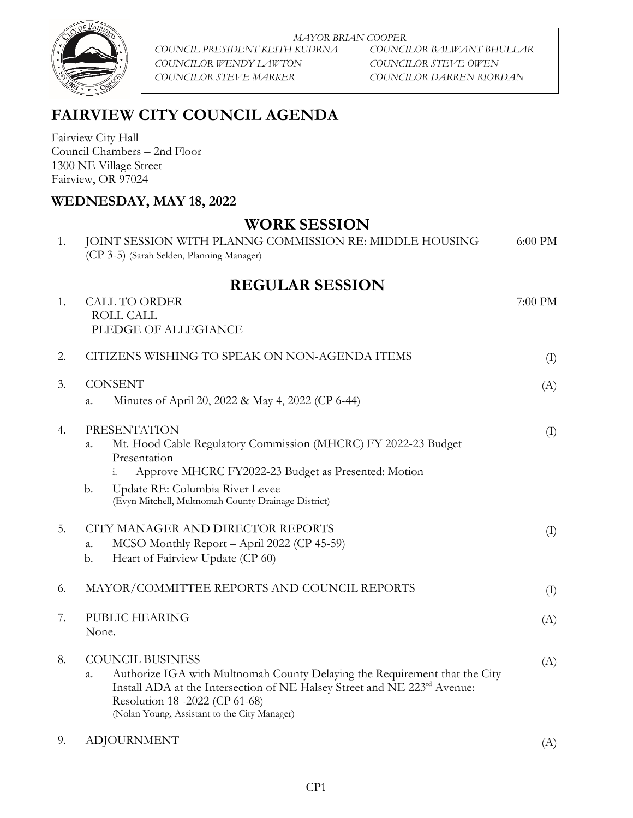

*MAYOR BRIAN COOPER COUNCIL PRESIDENT KEITH KUDRNA COUNCILOR BALWANT BHULLAR COUNCILOR WENDY LAWTON COUNCILOR STEVE OWEN COUNCILOR STEVE MARKER COUNCILOR DARREN RIORDAN*

## **FAIRVIEW CITY COUNCIL AGENDA**

Fairview City Hall Council Chambers – 2nd Floor 1300 NE Village Street Fairview, OR 97024

## **WEDNESDAY, MAY 18, 2022**

## **WORK SESSION**

| 1. | JOINT SESSION WITH PLANNG COMMISSION RE: MIDDLE HOUSING<br>(CP 3-5) (Sarah Selden, Planning Manager)                                                                                                                                                                                  | 6:00 PM |
|----|---------------------------------------------------------------------------------------------------------------------------------------------------------------------------------------------------------------------------------------------------------------------------------------|---------|
|    | <b>REGULAR SESSION</b>                                                                                                                                                                                                                                                                |         |
| 1. | <b>CALL TO ORDER</b><br>ROLL CALL<br>PLEDGE OF ALLEGIANCE                                                                                                                                                                                                                             | 7:00 PM |
| 2. | CITIZENS WISHING TO SPEAK ON NON-AGENDA ITEMS                                                                                                                                                                                                                                         | (I)     |
| 3. | <b>CONSENT</b><br>Minutes of April 20, 2022 & May 4, 2022 (CP 6-44)<br>a.                                                                                                                                                                                                             | (A)     |
| 4. | <b>PRESENTATION</b><br>Mt. Hood Cable Regulatory Commission (MHCRC) FY 2022-23 Budget<br>a.<br>Presentation<br>Approve MHCRC FY2022-23 Budget as Presented: Motion<br>Update RE: Columbia River Levee<br>b.<br>(Evyn Mitchell, Multnomah County Drainage District)                    | (I)     |
| 5. | CITY MANAGER AND DIRECTOR REPORTS<br>MCSO Monthly Report - April 2022 (CP 45-59)<br>a.<br>Heart of Fairview Update (CP 60)<br>b.                                                                                                                                                      | (I)     |
| 6. | MAYOR/COMMITTEE REPORTS AND COUNCIL REPORTS                                                                                                                                                                                                                                           | (I)     |
| 7. | PUBLIC HEARING<br>None.                                                                                                                                                                                                                                                               | (A)     |
| 8. | <b>COUNCIL BUSINESS</b><br>Authorize IGA with Multnomah County Delaying the Requirement that the City<br>a.<br>Install ADA at the Intersection of NE Halsey Street and NE 223 <sup>rd</sup> Avenue:<br>Resolution 18 -2022 (CP 61-68)<br>(Nolan Young, Assistant to the City Manager) | (A)     |
| 9. | <b>ADJOURNMENT</b>                                                                                                                                                                                                                                                                    | (A)     |